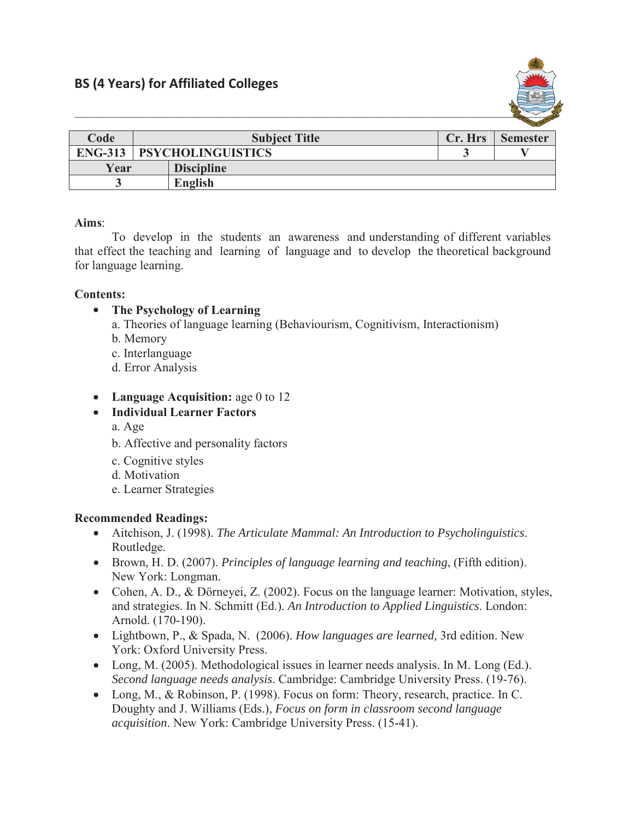

|      |                                    |                   |         | $-$             |
|------|------------------------------------|-------------------|---------|-----------------|
| Code | <b>Subject Title</b>               |                   | Cr. Hrs | <b>Semester</b> |
|      | <b>ENG-313   PSYCHOLINGUISTICS</b> |                   |         |                 |
| Year |                                    | <b>Discipline</b> |         |                 |
|      |                                    | English           |         |                 |

## **Aims**:

To develop in the students an awareness and understanding of different variables that effect the teaching and learning of language and to develop the theoretical background for language learning.

## **Contents:**

- The Psychology of Learning
	- a. Theories of language learning (Behaviourism, Cognitivism, Interactionism)
	- b. Memory
	- c. Interlanguage
	- d. Error Analysis
- Language Acquisition: age 0 to 12
- x **Individual Learner Factors**
	- a. Age
	- b. Affective and personality factors
	- c. Cognitive styles
	- d. Motivation
	- e. Learner Strategies

## **Recommended Readings:**

- x Aitchison, J. (1998). *The Articulate Mammal: An Introduction to Psycholinguistics*. Routledge.
- x Brown, H. D. (2007). *Principles of language learning and teaching*, (Fifth edition). New York: Longman.
- Cohen, A. D., & Dörneyei, Z. (2002). Focus on the language learner: Motivation, styles, and strategies. In N. Schmitt (Ed.). *An Introduction to Applied Linguistics*. London: Arnold. (170-190).
- x Lightbown, P., & Spada, N. (2006). *How languages are learned,* 3rd edition. New York: Oxford University Press.
- Long, M. (2005). Methodological issues in learner needs analysis. In M. Long (Ed.). *Second language needs analysis*. Cambridge: Cambridge University Press. (19-76).
- Long, M., & Robinson, P. (1998). Focus on form: Theory, research, practice. In C. Doughty and J. Williams (Eds.), *Focus on form in classroom second language acquisition*. New York: Cambridge University Press. (15-41).